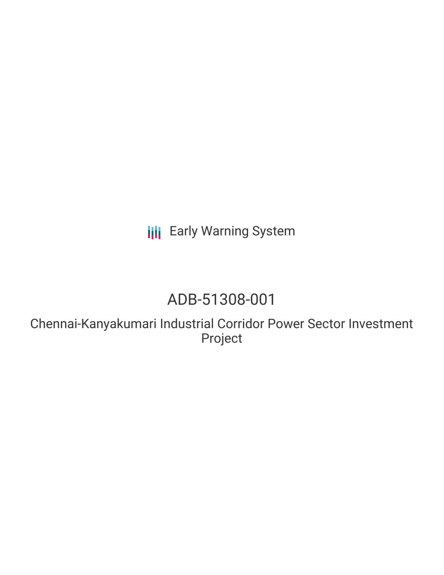**III** Early Warning System

# ADB-51308-001

Chennai-Kanyakumari Industrial Corridor Power Sector Investment Project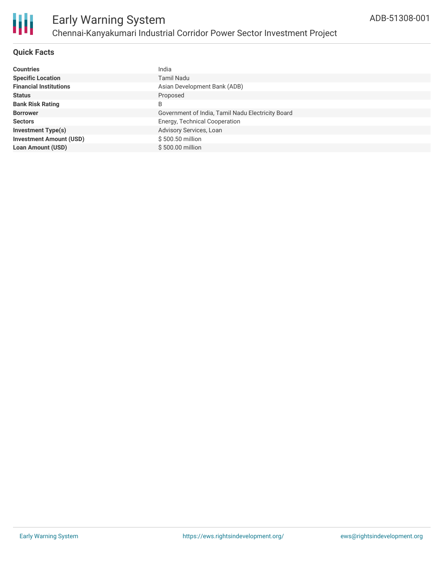

### **Quick Facts**

| <b>Countries</b>               | India                                             |
|--------------------------------|---------------------------------------------------|
| <b>Specific Location</b>       | <b>Tamil Nadu</b>                                 |
| <b>Financial Institutions</b>  | Asian Development Bank (ADB)                      |
| <b>Status</b>                  | Proposed                                          |
| <b>Bank Risk Rating</b>        | B                                                 |
| <b>Borrower</b>                | Government of India, Tamil Nadu Electricity Board |
| <b>Sectors</b>                 | Energy, Technical Cooperation                     |
| <b>Investment Type(s)</b>      | Advisory Services, Loan                           |
| <b>Investment Amount (USD)</b> | \$500,50 million                                  |
| <b>Loan Amount (USD)</b>       | $$500.00$ million                                 |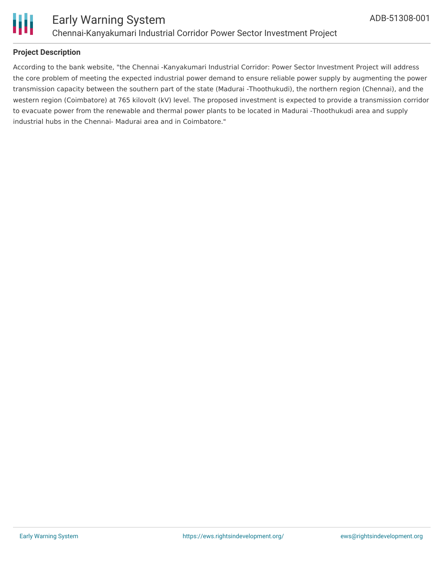

### **Project Description**

According to the bank website, "the Chennai -Kanyakumari Industrial Corridor: Power Sector Investment Project will address the core problem of meeting the expected industrial power demand to ensure reliable power supply by augmenting the power transmission capacity between the southern part of the state (Madurai -Thoothukudi), the northern region (Chennai), and the western region (Coimbatore) at 765 kilovolt (kV) level. The proposed investment is expected to provide a transmission corridor to evacuate power from the renewable and thermal power plants to be located in Madurai -Thoothukudi area and supply industrial hubs in the Chennai- Madurai area and in Coimbatore."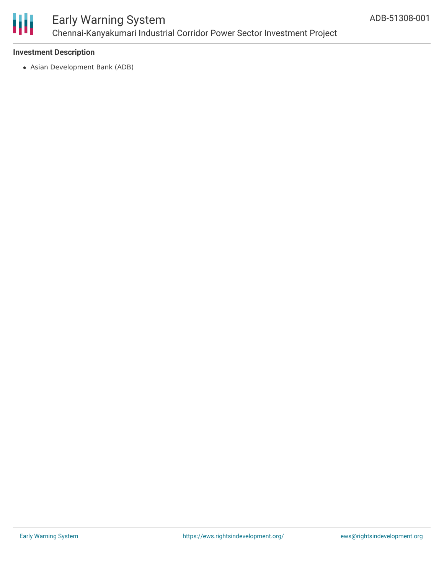

### Early Warning System Chennai-Kanyakumari Industrial Corridor Power Sector Investment Project

### **Investment Description**

Asian Development Bank (ADB)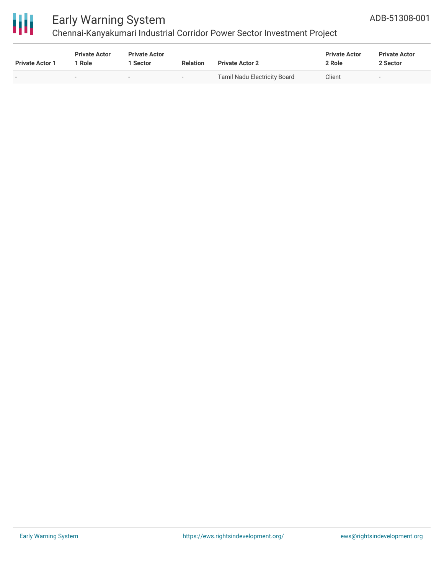

## Early Warning System

### Chennai-Kanyakumari Industrial Corridor Power Sector Investment Project

| <b>Private Actor 1</b> | <b>Private Actor</b><br>1 Role | <b>Private Actor</b><br>1 Sector | <b>Relation</b> | <b>Private Actor 2</b>              | <b>Private Actor</b><br>2 Role | <b>Private Actor</b><br>2 Sector |  |
|------------------------|--------------------------------|----------------------------------|-----------------|-------------------------------------|--------------------------------|----------------------------------|--|
|                        | $\overline{\phantom{a}}$       |                                  | $\sim$          | <b>Tamil Nadu Electricity Board</b> | Client                         | $\overline{\phantom{a}}$         |  |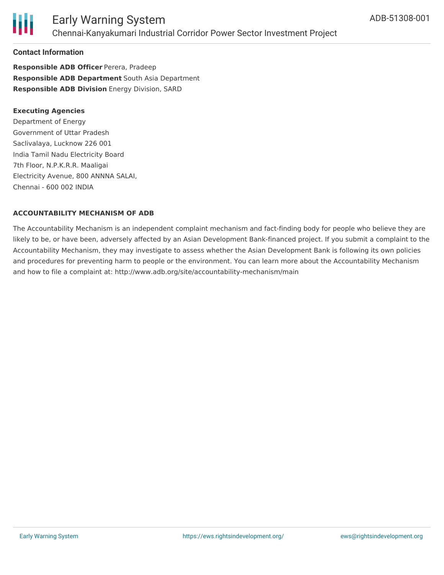

### Early Warning System Chennai-Kanyakumari Industrial Corridor Power Sector Investment Project

### **Contact Information**

**Responsible ADB Officer** Perera, Pradeep **Responsible ADB Department** South Asia Department **Responsible ADB Division** Energy Division, SARD

#### **Executing Agencies**

Department of Energy Government of Uttar Pradesh Saclivalaya, Lucknow 226 001 India Tamil Nadu Electricity Board 7th Floor, N.P.K.R.R. Maaligai Electricity Avenue, 800 ANNNA SALAI, Chennai - 600 002 INDIA

#### **ACCOUNTABILITY MECHANISM OF ADB**

The Accountability Mechanism is an independent complaint mechanism and fact-finding body for people who believe they are likely to be, or have been, adversely affected by an Asian Development Bank-financed project. If you submit a complaint to the Accountability Mechanism, they may investigate to assess whether the Asian Development Bank is following its own policies and procedures for preventing harm to people or the environment. You can learn more about the Accountability Mechanism and how to file a complaint at: http://www.adb.org/site/accountability-mechanism/main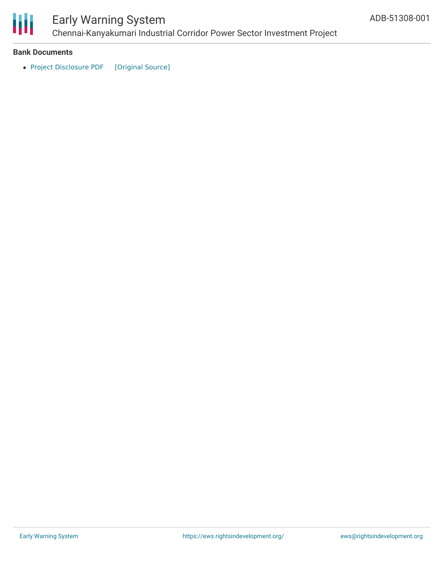

## Early Warning System

Chennai-Kanyakumari Industrial Corridor Power Sector Investment Project

#### **Bank Documents**

• Project [Disclosure](https://ewsdata.rightsindevelopment.org/files/documents/01/ADB-51308-001.pdf) PDF [\[Original](https://www.adb.org/printpdf/projects/51308-001/main) Source]